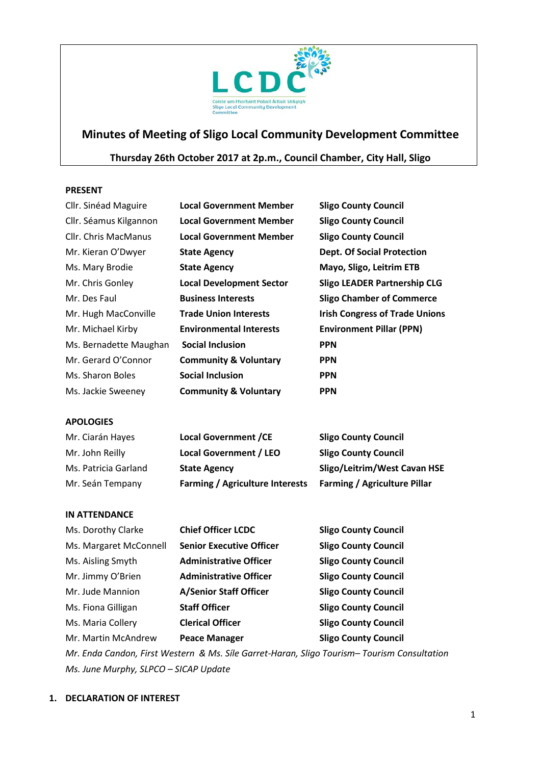

# **Minutes of Meeting of Sligo Local Community Development Committee**

## **Thursday 26th October 2017 at 2p.m., Council Chamber, City Hall, Sligo**

#### **PRESENT**

| Cllr. Sinéad Maguire   | <b>Local Government Member</b>   | <b>Sligo County Council</b>           |
|------------------------|----------------------------------|---------------------------------------|
| Cllr. Séamus Kilgannon | <b>Local Government Member</b>   | <b>Sligo County Council</b>           |
| Cllr. Chris MacManus   | <b>Local Government Member</b>   | <b>Sligo County Council</b>           |
| Mr. Kieran O'Dwyer     | <b>State Agency</b>              | <b>Dept. Of Social Protection</b>     |
| Ms. Mary Brodie        | <b>State Agency</b>              | Mayo, Sligo, Leitrim ETB              |
| Mr. Chris Gonley       | <b>Local Development Sector</b>  | <b>Sligo LEADER Partnership CLG</b>   |
| Mr. Des Faul           | <b>Business Interests</b>        | <b>Sligo Chamber of Commerce</b>      |
| Mr. Hugh MacConville   | <b>Trade Union Interests</b>     | <b>Irish Congress of Trade Unions</b> |
| Mr. Michael Kirby      | <b>Environmental Interests</b>   | <b>Environment Pillar (PPN)</b>       |
| Ms. Bernadette Maughan | <b>Social Inclusion</b>          | <b>PPN</b>                            |
| Mr. Gerard O'Connor    | <b>Community &amp; Voluntary</b> | <b>PPN</b>                            |
| Ms. Sharon Boles       | <b>Social Inclusion</b>          | <b>PPN</b>                            |
| Ms. Jackie Sweeney     | <b>Community &amp; Voluntary</b> | <b>PPN</b>                            |

## **APOLOGIES**

| Mr. Ciarán Hayes     | <b>Local Government /CE</b>            | <b>Sligo County Council</b>         |
|----------------------|----------------------------------------|-------------------------------------|
| Mr. John Reilly      | <b>Local Government / LEO</b>          | <b>Sligo County Council</b>         |
| Ms. Patricia Garland | <b>State Agency</b>                    | Sligo/Leitrim/West Cavan HSE        |
| Mr. Seán Tempany     | <b>Farming / Agriculture Interests</b> | <b>Farming / Agriculture Pillar</b> |

## **IN ATTENDANCE**

| Ms. Dorothy Clarke     | <b>Chief Officer LCDC</b>       | <b>Sligo County Council</b> |
|------------------------|---------------------------------|-----------------------------|
| Ms. Margaret McConnell | <b>Senior Executive Officer</b> | <b>Sligo County Council</b> |
| Ms. Aisling Smyth      | <b>Administrative Officer</b>   | <b>Sligo County Council</b> |
| Mr. Jimmy O'Brien      | <b>Administrative Officer</b>   | <b>Sligo County Council</b> |
| Mr. Jude Mannion       | <b>A/Senior Staff Officer</b>   | <b>Sligo County Council</b> |
| Ms. Fiona Gilligan     | <b>Staff Officer</b>            | <b>Sligo County Council</b> |
| Ms. Maria Collery      | <b>Clerical Officer</b>         | <b>Sligo County Council</b> |
| Mr. Martin McAndrew    | <b>Peace Manager</b>            | <b>Sligo County Council</b> |
|                        |                                 |                             |

*Mr. Enda Candon, First Western & Ms. Síle Garret-Haran, Sligo Tourism– Tourism Consultation Ms. June Murphy, SLPCO – SICAP Update*

## **1. DECLARATION OF INTEREST**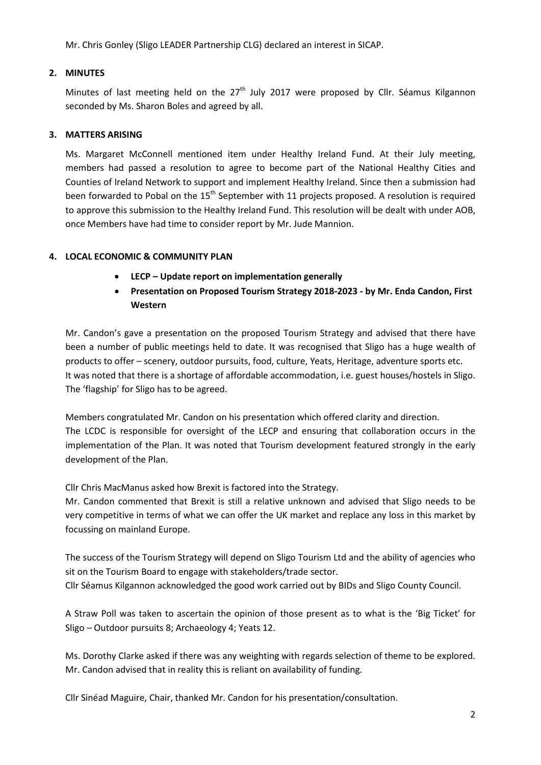Mr. Chris Gonley (Sligo LEADER Partnership CLG) declared an interest in SICAP.

## **2. MINUTES**

Minutes of last meeting held on the  $27<sup>th</sup>$  July 2017 were proposed by Cllr. Séamus Kilgannon seconded by Ms. Sharon Boles and agreed by all.

## **3. MATTERS ARISING**

Ms. Margaret McConnell mentioned item under Healthy Ireland Fund. At their July meeting, members had passed a resolution to agree to become part of the National Healthy Cities and Counties of Ireland Network to support and implement Healthy Ireland. Since then a submission had been forwarded to Pobal on the 15<sup>th</sup> September with 11 projects proposed. A resolution is required to approve this submission to the Healthy Ireland Fund. This resolution will be dealt with under AOB, once Members have had time to consider report by Mr. Jude Mannion.

## **4. LOCAL ECONOMIC & COMMUNITY PLAN**

- **LECP – Update report on implementation generally**
- **Presentation on Proposed Tourism Strategy 2018-2023 - by Mr. Enda Candon, First Western**

Mr. Candon's gave a presentation on the proposed Tourism Strategy and advised that there have been a number of public meetings held to date. It was recognised that Sligo has a huge wealth of products to offer – scenery, outdoor pursuits, food, culture, Yeats, Heritage, adventure sports etc. It was noted that there is a shortage of affordable accommodation, i.e. guest houses/hostels in Sligo. The 'flagship' for Sligo has to be agreed.

Members congratulated Mr. Candon on his presentation which offered clarity and direction. The LCDC is responsible for oversight of the LECP and ensuring that collaboration occurs in the implementation of the Plan. It was noted that Tourism development featured strongly in the early development of the Plan.

Cllr Chris MacManus asked how Brexit is factored into the Strategy.

Mr. Candon commented that Brexit is still a relative unknown and advised that Sligo needs to be very competitive in terms of what we can offer the UK market and replace any loss in this market by focussing on mainland Europe.

The success of the Tourism Strategy will depend on Sligo Tourism Ltd and the ability of agencies who sit on the Tourism Board to engage with stakeholders/trade sector. Cllr Séamus Kilgannon acknowledged the good work carried out by BIDs and Sligo County Council.

A Straw Poll was taken to ascertain the opinion of those present as to what is the 'Big Ticket' for Sligo – Outdoor pursuits 8; Archaeology 4; Yeats 12.

Ms. Dorothy Clarke asked if there was any weighting with regards selection of theme to be explored. Mr. Candon advised that in reality this is reliant on availability of funding.

Cllr Sinéad Maguire, Chair, thanked Mr. Candon for his presentation/consultation.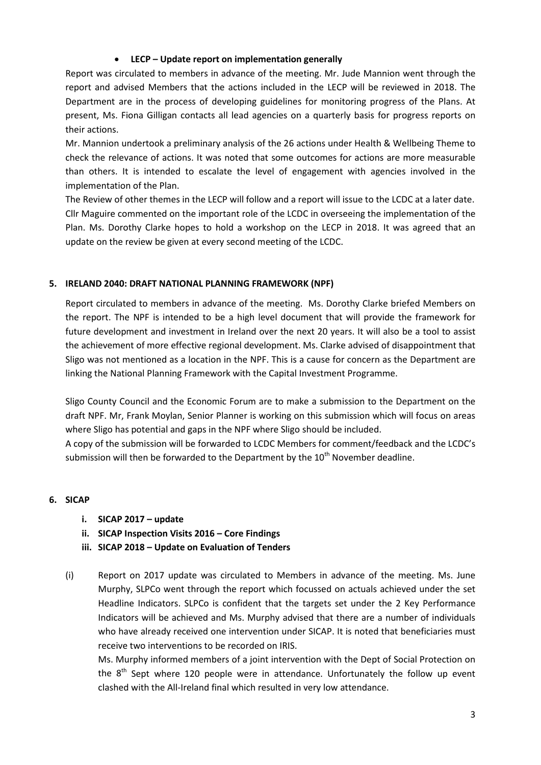## • **LECP – Update report on implementation generally**

Report was circulated to members in advance of the meeting. Mr. Jude Mannion went through the report and advised Members that the actions included in the LECP will be reviewed in 2018. The Department are in the process of developing guidelines for monitoring progress of the Plans. At present, Ms. Fiona Gilligan contacts all lead agencies on a quarterly basis for progress reports on their actions.

Mr. Mannion undertook a preliminary analysis of the 26 actions under Health & Wellbeing Theme to check the relevance of actions. It was noted that some outcomes for actions are more measurable than others. It is intended to escalate the level of engagement with agencies involved in the implementation of the Plan.

The Review of other themes in the LECP will follow and a report will issue to the LCDC at a later date. Cllr Maguire commented on the important role of the LCDC in overseeing the implementation of the Plan. Ms. Dorothy Clarke hopes to hold a workshop on the LECP in 2018. It was agreed that an update on the review be given at every second meeting of the LCDC.

## **5. IRELAND 2040: DRAFT NATIONAL PLANNING FRAMEWORK (NPF)**

Report circulated to members in advance of the meeting. Ms. Dorothy Clarke briefed Members on the report. The NPF is intended to be a high level document that will provide the framework for future development and investment in Ireland over the next 20 years. It will also be a tool to assist the achievement of more effective regional development. Ms. Clarke advised of disappointment that Sligo was not mentioned as a location in the NPF. This is a cause for concern as the Department are linking the National Planning Framework with the Capital Investment Programme.

Sligo County Council and the Economic Forum are to make a submission to the Department on the draft NPF. Mr, Frank Moylan, Senior Planner is working on this submission which will focus on areas where Sligo has potential and gaps in the NPF where Sligo should be included.

A copy of the submission will be forwarded to LCDC Members for comment/feedback and the LCDC's submission will then be forwarded to the Department by the 10<sup>th</sup> November deadline.

## **6. SICAP**

- **i. SICAP 2017 – update**
- **ii. SICAP Inspection Visits 2016 – Core Findings**
- **iii. SICAP 2018 – Update on Evaluation of Tenders**
- (i) Report on 2017 update was circulated to Members in advance of the meeting. Ms. June Murphy, SLPCo went through the report which focussed on actuals achieved under the set Headline Indicators. SLPCo is confident that the targets set under the 2 Key Performance Indicators will be achieved and Ms. Murphy advised that there are a number of individuals who have already received one intervention under SICAP. It is noted that beneficiaries must receive two interventions to be recorded on IRIS.

Ms. Murphy informed members of a joint intervention with the Dept of Social Protection on the  $8<sup>th</sup>$  Sept where 120 people were in attendance. Unfortunately the follow up event clashed with the All-Ireland final which resulted in very low attendance.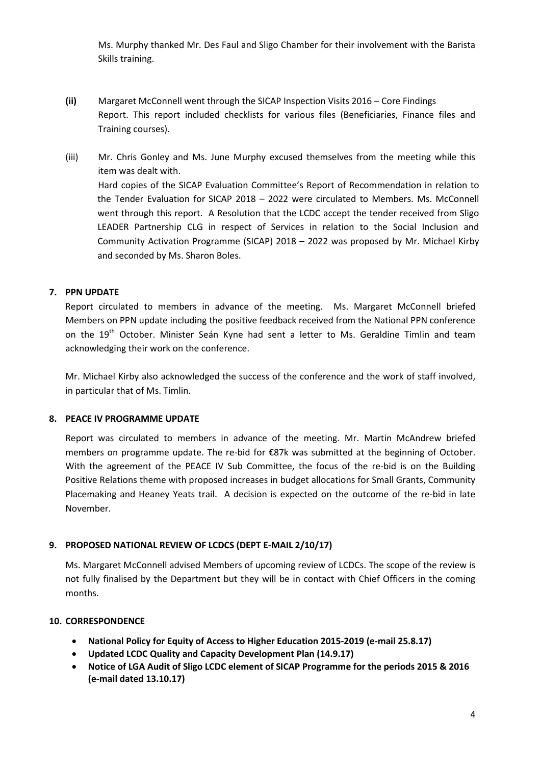Ms. Murphy thanked Mr. Des Faul and Sligo Chamber for their involvement with the Barista Skills training.

- **(ii)** Margaret McConnell went through the SICAP Inspection Visits 2016 Core Findings Report. This report included checklists for various files (Beneficiaries, Finance files and Training courses).
- (iii) Mr. Chris Gonley and Ms. June Murphy excused themselves from the meeting while this item was dealt with. Hard copies of the SICAP Evaluation Committee's Report of Recommendation in relation to the Tender Evaluation for SICAP 2018 – 2022 were circulated to Members. Ms. McConnell went through this report. A Resolution that the LCDC accept the tender received from Sligo LEADER Partnership CLG in respect of Services in relation to the Social Inclusion and Community Activation Programme (SICAP) 2018 – 2022 was proposed by Mr. Michael Kirby and seconded by Ms. Sharon Boles.

## **7. PPN UPDATE**

Report circulated to members in advance of the meeting. Ms. Margaret McConnell briefed Members on PPN update including the positive feedback received from the National PPN conference on the 19<sup>th</sup> October. Minister Seán Kyne had sent a letter to Ms. Geraldine Timlin and team acknowledging their work on the conference.

Mr. Michael Kirby also acknowledged the success of the conference and the work of staff involved, in particular that of Ms. Timlin.

## **8. PEACE IV PROGRAMME UPDATE**

Report was circulated to members in advance of the meeting. Mr. Martin McAndrew briefed members on programme update. The re-bid for €87k was submitted at the beginning of October. With the agreement of the PEACE IV Sub Committee, the focus of the re-bid is on the Building Positive Relations theme with proposed increases in budget allocations for Small Grants, Community Placemaking and Heaney Yeats trail. A decision is expected on the outcome of the re-bid in late November.

## **9. PROPOSED NATIONAL REVIEW OF LCDCS (DEPT E-MAIL 2/10/17)**

Ms. Margaret McConnell advised Members of upcoming review of LCDCs. The scope of the review is not fully finalised by the Department but they will be in contact with Chief Officers in the coming months.

## **10. CORRESPONDENCE**

- **National Policy for Equity of Access to Higher Education 2015-2019 (e-mail 25.8.17)**
- **Updated LCDC Quality and Capacity Development Plan (14.9.17)**
- **Notice of LGA Audit of Sligo LCDC element of SICAP Programme for the periods 2015 & 2016 (e-mail dated 13.10.17)**